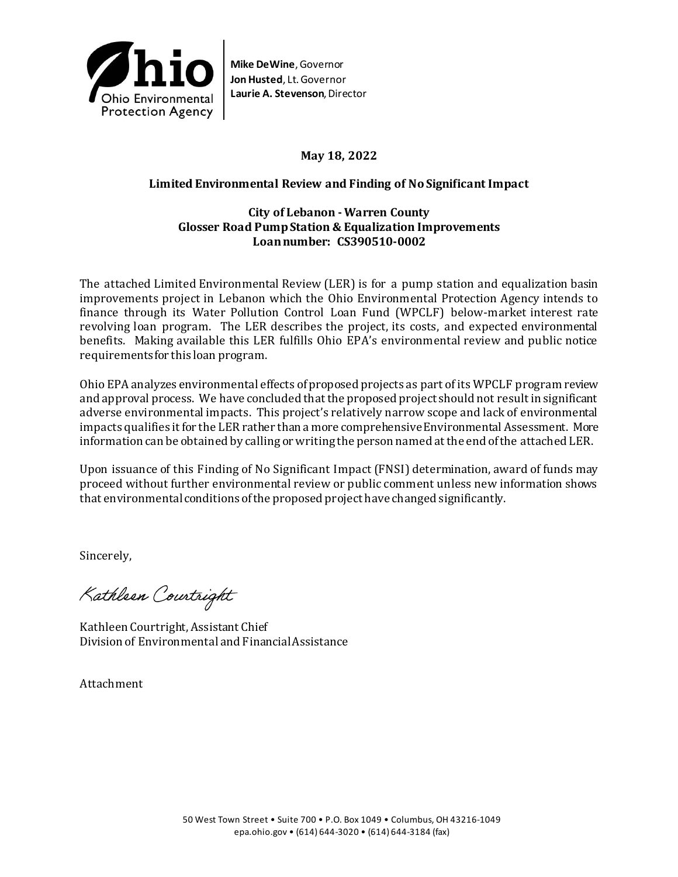

**Mike DeWine**, Governor **Jon Husted**, Lt. Governor **Laurie A. Stevenson**, Director

### **May 18, 2022**

### **Limited Environmental Review and Finding of No Significant Impact**

#### **City of Lebanon - Warren County Glosser Road Pump Station & Equalization Improvements Loan number: CS390510-0002**

The attached Limited Environmental Review (LER) is for a pump station and equalization basin improvements project in Lebanon which the Ohio Environmental Protection Agency intends to finance through its Water Pollution Control Loan Fund (WPCLF) below-market interest rate revolving loan program. The LER describes the project, its costs, and expected environmental benefits. Making available this LER fulfills Ohio EPA's environmental review and public notice requirementsfor this loan program.

Ohio EPA analyzes environmental effects of proposed projects as part of its WPCLF program review and approval process. We have concluded thatthe proposed project should not resultin significant adverse environmental impacts. This project's relatively narrow scope and lack of environmental impacts qualifies it for the LER rather than a more comprehensive Environmental Assessment. More information can be obtained by calling or writing the person named atthe end ofthe attached LER.

Upon issuance of this Finding of No Significant Impact (FNSI) determination, award of funds may proceed without further environmental review or public comment unless new information shows that environmentalconditions ofthe proposed project have changed significantly.

Sincerely,

Kathleen Courtright

Kathleen Courtright, Assistant Chief Division of Environmental and Financial Assistance

Attachment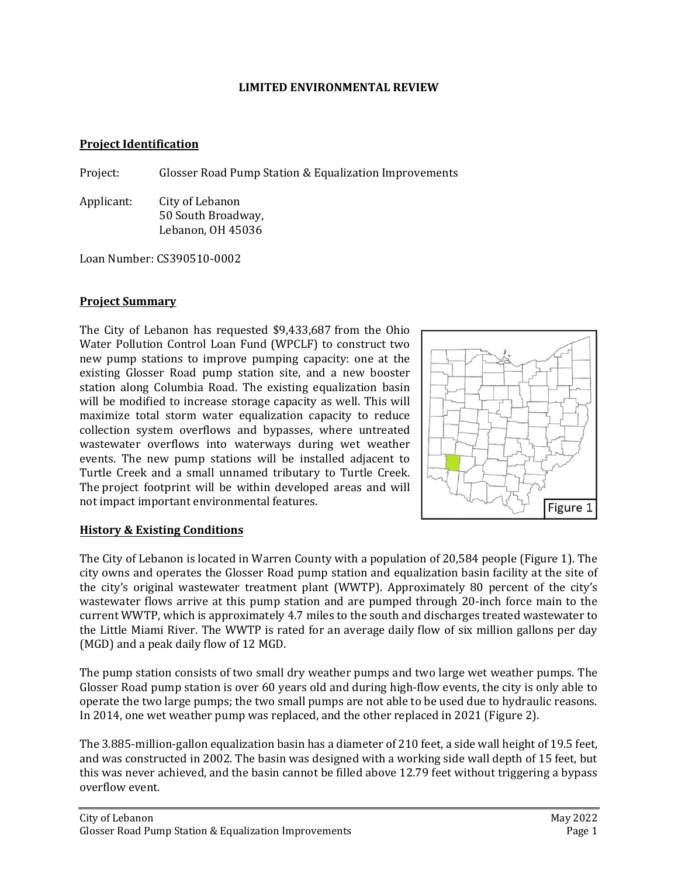#### **LIMITED ENVIRONMENTAL REVIEW**

#### **Project Identification**

Project: Glosser Road Pump Station & Equalization Improvements

Applicant: City of Lebanon 50 South Broadway, Lebanon, OH 45036

Loan Number: CS390510-0002

#### **Project Summary**

The City of Lebanon has requested \$9,433,687 from the Ohio Water Pollution Control Loan Fund (WPCLF) to construct two new pump stations to improve pumping capacity: one at the existing Glosser Road pump station site, and a new booster station along Columbia Road. The existing equalization basin will be modified to increase storage capacity as well. This will maximize total storm water equalization capacity to reduce collection system overflows and bypasses, where untreated wastewater overflows into waterways during wet weather events. The new pump stations will be installed adjacent to Turtle Creek and a small unnamed tributary to Turtle Creek. The project footprint will be within developed areas and will not impact important environmental features.



### **History & Existing Conditions**

The City of Lebanon is located in Warren County with a population of 20,584 people (Figure 1). The city owns and operates the Glosser Road pump station and equalization basin facility at the site of the city's original wastewater treatment plant (WWTP). Approximately 80 percent of the city's wastewater flows arrive at this pump station and are pumped through 20-inch force main to the current WWTP, which is approximately 4.7 miles to the south and discharges treated wastewater to the Little Miami River. The WWTP is rated for an average daily flow of six million gallons per day (MGD) and a peak daily flow of 12 MGD.

The pump station consists of two small dry weather pumps and two large wet weather pumps. The Glosser Road pump station is over 60 years old and during high-flow events, the city is only able to operate the two large pumps; the two small pumps are not able to be used due to hydraulic reasons. In 2014, one wet weather pump was replaced, and the other replaced in 2021 (Figure 2).

The 3.885-million-gallon equalization basin has a diameter of 210 feet, a side wall height of 19.5 feet, and was constructed in 2002. The basin was designed with a working side wall depth of 15 feet, but this was never achieved, and the basin cannot be filled above 12.79 feet without triggering a bypass overflow event.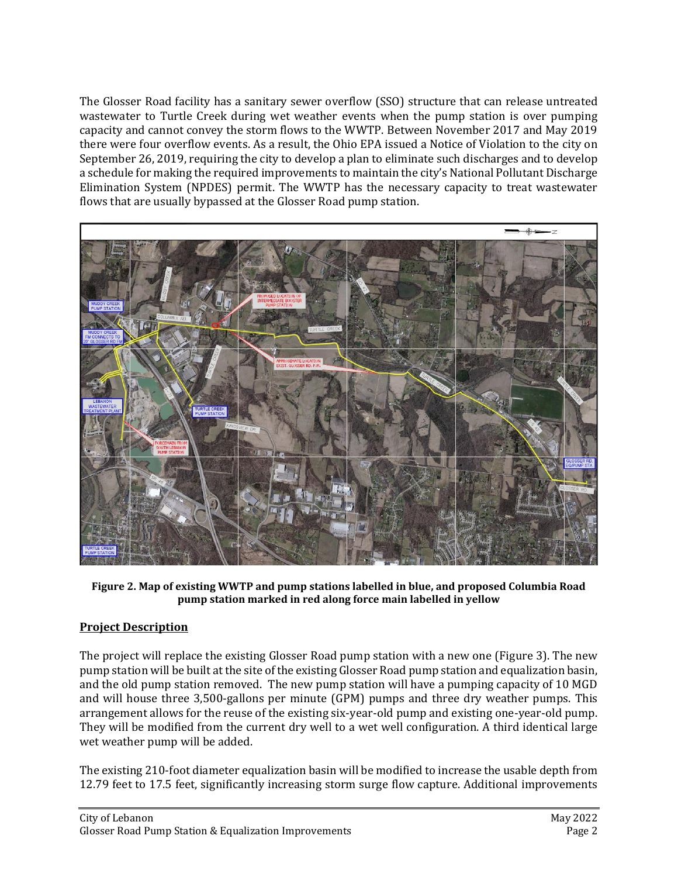The Glosser Road facility has a sanitary sewer overflow (SSO) structure that can release untreated wastewater to Turtle Creek during wet weather events when the pump station is over pumping capacity and cannot convey the storm flows to the WWTP. Between November 2017 and May 2019 there were four overflow events. As a result, the Ohio EPA issued a Notice of Violation to the city on September 26, 2019, requiring the city to develop a plan to eliminate such discharges and to develop a schedule for making the required improvements to maintain the city's National Pollutant Discharge Elimination System (NPDES) permit. The WWTP has the necessary capacity to treat wastewater flows that are usually bypassed at the Glosser Road pump station.



**Figure 2. Map of existing WWTP and pump stations labelled in blue, and proposed Columbia Road pump station marked in red along force main labelled in yellow**

### **Project Description**

The project will replace the existing Glosser Road pump station with a new one (Figure 3). The new pump station will be built at the site of the existing Glosser Road pump station and equalization basin, and the old pump station removed. The new pump station will have a pumping capacity of 10 MGD and will house three 3,500-gallons per minute (GPM) pumps and three dry weather pumps. This arrangement allows for the reuse of the existing six-year-old pump and existing one-year-old pump. They will be modified from the current dry well to a wet well configuration. A third identical large wet weather pump will be added.

The existing 210-foot diameter equalization basin will be modified to increase the usable depth from 12.79 feet to 17.5 feet, significantly increasing storm surge flow capture. Additional improvements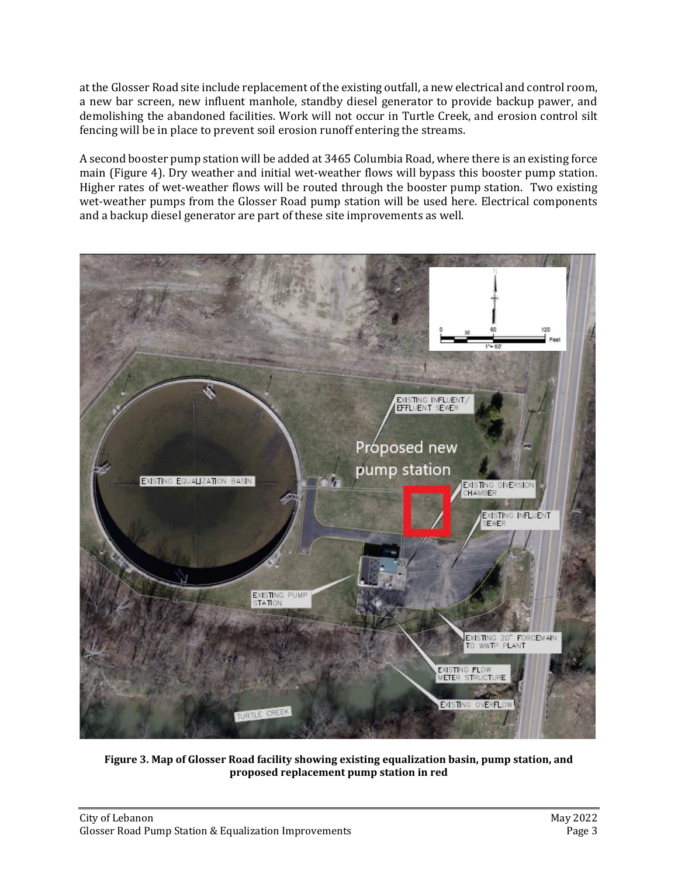at the Glosser Road site include replacement of the existing outfall, a new electrical and control room, a new bar screen, new influent manhole, standby diesel generator to provide backup pawer, and demolishing the abandoned facilities. Work will not occur in Turtle Creek, and erosion control silt fencing will be in place to prevent soil erosion runoff entering the streams.

A second booster pump station will be added at 3465 Columbia Road, where there is an existing force main (Figure 4). Dry weather and initial wet-weather flows will bypass this booster pump station. Higher rates of wet-weather flows will be routed through the booster pump station. Two existing wet-weather pumps from the Glosser Road pump station will be used here. Electrical components and a backup diesel generator are part of these site improvements as well.



**Figure 3. Map of Glosser Road facility showing existing equalization basin, pump station, and proposed replacement pump station in red**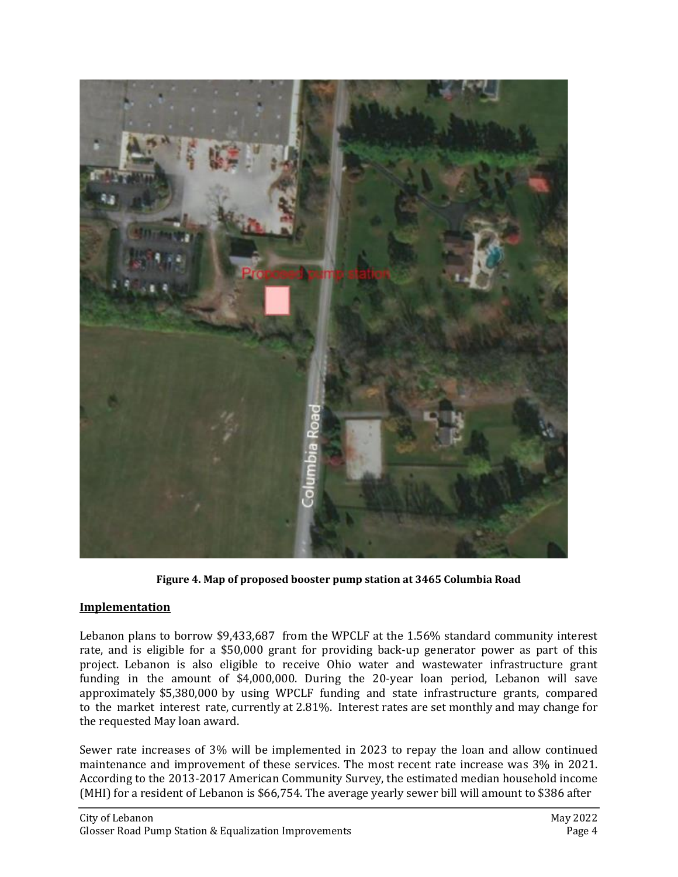

**Figure 4. Map of proposed booster pump station at 3465 Columbia Road**

### **Implementation**

Lebanon plans to borrow \$9,433,687 from the WPCLF at the 1.56% standard community interest rate, and is eligible for a \$50,000 grant for providing back-up generator power as part of this project. Lebanon is also eligible to receive Ohio water and wastewater infrastructure grant funding in the amount of \$4,000,000. During the 20-year loan period, Lebanon will save approximately \$5,380,000 by using WPCLF funding and state infrastructure grants, compared to the market interest rate, currently at 2.81%. Interest rates are set monthly and may change for the requested May loan award.

Sewer rate increases of 3% will be implemented in 2023 to repay the loan and allow continued maintenance and improvement of these services. The most recent rate increase was 3% in 2021. According to the 2013-2017 American Community Survey, the estimated median household income (MHI) for a resident of Lebanon is \$66,754. The average yearly sewer bill will amount to \$386 after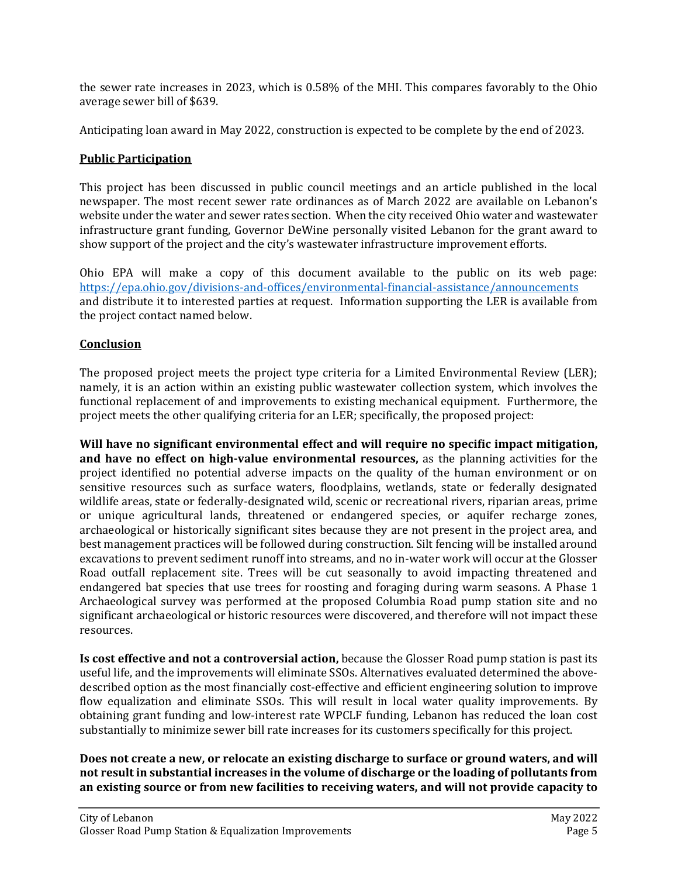the sewer rate increases in 2023, which is 0.58% of the MHI. This compares favorably to the Ohio average sewer bill of \$639.

Anticipating loan award in May 2022, construction is expected to be complete by the end of 2023.

## **Public Participation**

This project has been discussed in public council meetings and an article published in the local newspaper. The most recent sewer rate ordinances as of March 2022 are available on Lebanon's website under the water and sewer rates section. When the city received Ohio water and wastewater infrastructure grant funding, Governor DeWine personally visited Lebanon for the grant award to show support of the project and the city's wastewater infrastructure improvement efforts.

Ohio EPA will make a copy of this document available to the public on its web page: <https://epa.ohio.gov/divisions-and-offices/environmental-financial-assistance/announcements> and distribute it to interested parties at request. Information supporting the LER is available from the project contact named below.

# **Conclusion**

The proposed project meets the project type criteria for a Limited Environmental Review (LER); namely, it is an action within an existing public wastewater collection system, which involves the functional replacement of and improvements to existing mechanical equipment. Furthermore, the project meets the other qualifying criteria for an LER; specifically, the proposed project:

**Will have no significant environmental effect and will require no specific impact mitigation, and have no effect on high-value environmental resources,** as the planning activities for the project identified no potential adverse impacts on the quality of the human environment or on sensitive resources such as surface waters, floodplains, wetlands, state or federally designated wildlife areas, state or federally-designated wild, scenic or recreational rivers, riparian areas, prime or unique agricultural lands, threatened or endangered species, or aquifer recharge zones, archaeological or historically significant sites because they are not present in the project area, and best management practices will be followed during construction. Silt fencing will be installed around excavations to prevent sediment runoff into streams, and no in-water work will occur at the Glosser Road outfall replacement site. Trees will be cut seasonally to avoid impacting threatened and endangered bat species that use trees for roosting and foraging during warm seasons. A Phase 1 Archaeological survey was performed at the proposed Columbia Road pump station site and no significant archaeological or historic resources were discovered, and therefore will not impact these resources.

**Is cost effective and not a controversial action,** because the Glosser Road pump station is past its useful life, and the improvements will eliminate SSOs. Alternatives evaluated determined the abovedescribed option as the most financially cost-effective and efficient engineering solution to improve flow equalization and eliminate SSOs. This will result in local water quality improvements. By obtaining grant funding and low-interest rate WPCLF funding, Lebanon has reduced the loan cost substantially to minimize sewer bill rate increases for its customers specifically for this project.

**Does not create a new, or relocate an existing discharge to surface or ground waters, and will not result in substantial increases in the volume of discharge or the loading of pollutants from an existing source or from new facilities to receiving waters, and will not provide capacity to**